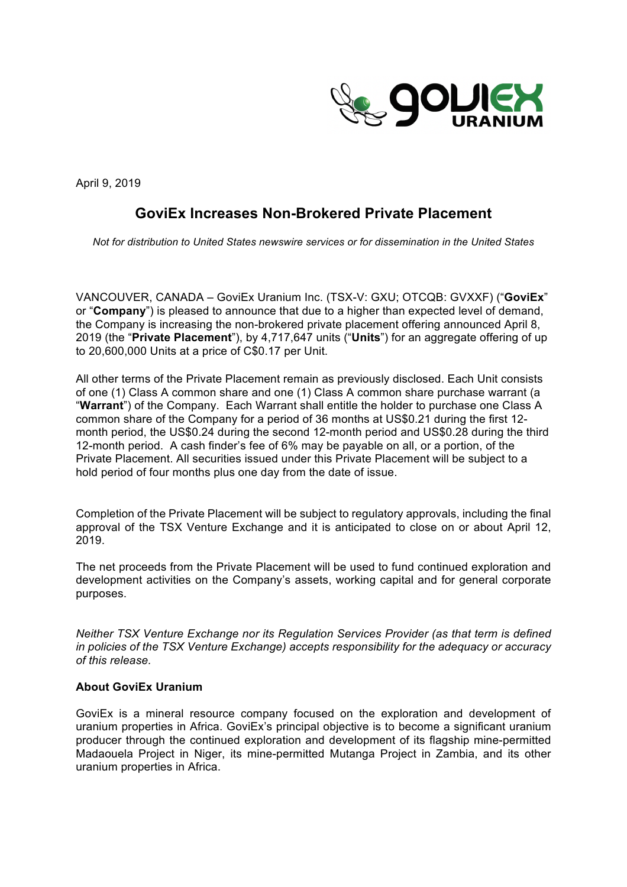

April 9, 2019

## **GoviEx Increases Non-Brokered Private Placement**

*Not for distribution to United States newswire services or for dissemination in the United States*

VANCOUVER, CANADA – GoviEx Uranium Inc. (TSX-V: GXU; OTCQB: GVXXF) ("**GoviEx**" or "**Company**") is pleased to announce that due to a higher than expected level of demand, the Company is increasing the non-brokered private placement offering announced April 8, 2019 (the "**Private Placement**"), by 4,717,647 units ("**Units**") for an aggregate offering of up to 20,600,000 Units at a price of C\$0.17 per Unit.

All other terms of the Private Placement remain as previously disclosed. Each Unit consists of one (1) Class A common share and one (1) Class A common share purchase warrant (a "**Warrant**") of the Company. Each Warrant shall entitle the holder to purchase one Class A common share of the Company for a period of 36 months at US\$0.21 during the first 12 month period, the US\$0.24 during the second 12-month period and US\$0.28 during the third 12-month period. A cash finder's fee of 6% may be payable on all, or a portion, of the Private Placement. All securities issued under this Private Placement will be subject to a hold period of four months plus one day from the date of issue.

Completion of the Private Placement will be subject to regulatory approvals, including the final approval of the TSX Venture Exchange and it is anticipated to close on or about April 12, 2019.

The net proceeds from the Private Placement will be used to fund continued exploration and development activities on the Company's assets, working capital and for general corporate purposes.

*Neither TSX Venture Exchange nor its Regulation Services Provider (as that term is defined in policies of the TSX Venture Exchange) accepts responsibility for the adequacy or accuracy of this release.* 

## **About GoviEx Uranium**

GoviEx is a mineral resource company focused on the exploration and development of uranium properties in Africa. GoviEx's principal objective is to become a significant uranium producer through the continued exploration and development of its flagship mine-permitted Madaouela Project in Niger, its mine-permitted Mutanga Project in Zambia, and its other uranium properties in Africa.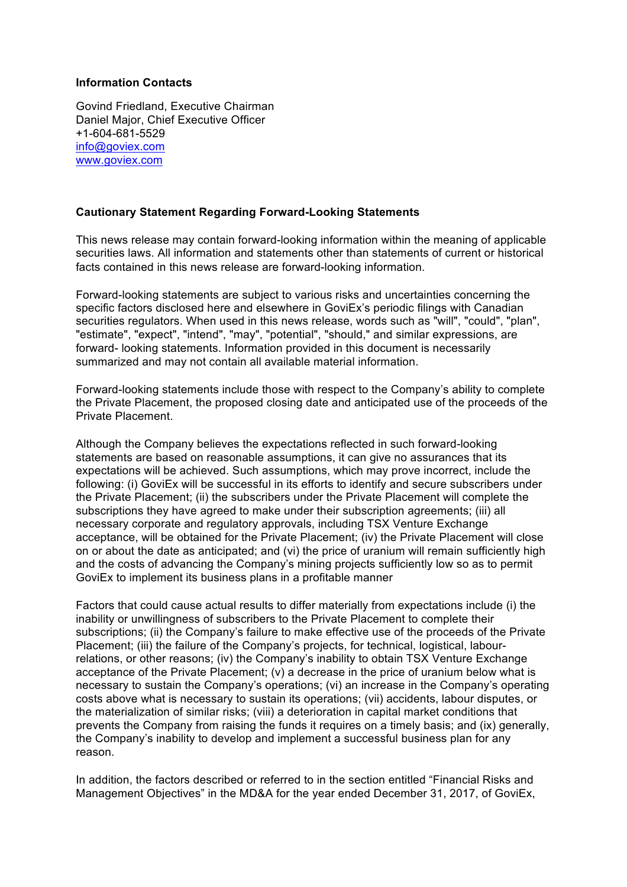## **Information Contacts**

Govind Friedland, Executive Chairman Daniel Major, Chief Executive Officer +1-604-681-5529 info@goviex.com www.goviex.com

## **Cautionary Statement Regarding Forward-Looking Statements**

This news release may contain forward-looking information within the meaning of applicable securities laws. All information and statements other than statements of current or historical facts contained in this news release are forward-looking information.

Forward-looking statements are subject to various risks and uncertainties concerning the specific factors disclosed here and elsewhere in GoviEx's periodic filings with Canadian securities regulators. When used in this news release, words such as "will", "could", "plan", "estimate", "expect", "intend", "may", "potential", "should," and similar expressions, are forward- looking statements. Information provided in this document is necessarily summarized and may not contain all available material information.

Forward-looking statements include those with respect to the Company's ability to complete the Private Placement, the proposed closing date and anticipated use of the proceeds of the Private Placement.

Although the Company believes the expectations reflected in such forward-looking statements are based on reasonable assumptions, it can give no assurances that its expectations will be achieved. Such assumptions, which may prove incorrect, include the following: (i) GoviEx will be successful in its efforts to identify and secure subscribers under the Private Placement; (ii) the subscribers under the Private Placement will complete the subscriptions they have agreed to make under their subscription agreements; (iii) all necessary corporate and regulatory approvals, including TSX Venture Exchange acceptance, will be obtained for the Private Placement; (iv) the Private Placement will close on or about the date as anticipated; and (vi) the price of uranium will remain sufficiently high and the costs of advancing the Company's mining projects sufficiently low so as to permit GoviEx to implement its business plans in a profitable manner

Factors that could cause actual results to differ materially from expectations include (i) the inability or unwillingness of subscribers to the Private Placement to complete their subscriptions; (ii) the Company's failure to make effective use of the proceeds of the Private Placement; (iii) the failure of the Company's projects, for technical, logistical, labourrelations, or other reasons; (iv) the Company's inability to obtain TSX Venture Exchange acceptance of the Private Placement; (v) a decrease in the price of uranium below what is necessary to sustain the Company's operations; (vi) an increase in the Company's operating costs above what is necessary to sustain its operations; (vii) accidents, labour disputes, or the materialization of similar risks; (viii) a deterioration in capital market conditions that prevents the Company from raising the funds it requires on a timely basis; and (ix) generally, the Company's inability to develop and implement a successful business plan for any reason.

In addition, the factors described or referred to in the section entitled "Financial Risks and Management Objectives" in the MD&A for the year ended December 31, 2017, of GoviEx,